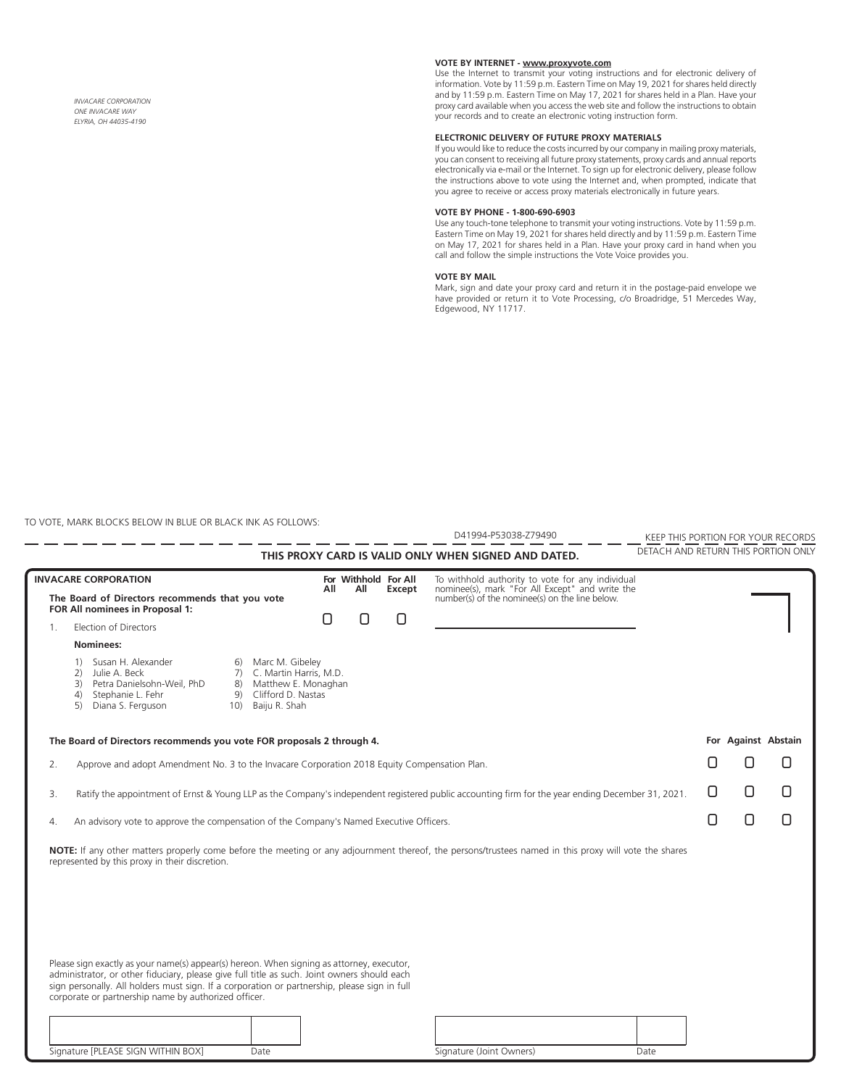*INVACARE CORPORATION ONE INVACARE WAY ELYRIA, OH 44035-4190*

## **VOTE BY INTERNET - www.proxyvote.com**

Use the Internet to transmit your voting instructions and for electronic delivery of<br>information. Vote by 11:59 p.m. Eastern Time on May 19, 2021 for shares held directly<br>and by 11:59 p.m. Eastern Time on May 17, 2021 for proxy card available when you access the web site and follow the instructions to obtain your records and to create an electronic voting instruction form.

### **ELECTRONIC DELIVERY OF FUTURE PROXY MATERIALS**

If you would like to reduce the costs incurred by our company in mailing proxy materials, you can consent to receiving all future proxy statements, proxy cards and annual reports electronically via e-mail or the Internet. To sign up for electronic delivery, please follow the instructions above to vote using the Internet and, when prompted, indicate that you agree to receive or access proxy materials electronically in future years.

#### **VOTE BY PHONE - 1-800-690-6903**

Use any touch-tone telephone to transmit your voting instructions. Vote by 11:59 p.m. Eastern Time on May 19, 2021 for shares held directly and by 11:59 p.m. Eastern Time on May 17, 2021 for shares held in a Plan. Have your proxy card in hand when you call and follow the simple instructions the Vote Voice provides you.

### **VOTE BY MAIL**

Mark, sign and date your proxy card and return it in the postage-paid envelope we have provided or return it to Vote Processing, c/o Broadridge, 51 Mercedes Way, Edgewood, NY 11717.

TO VOTE, MARK BLOCKS BELOW IN BLUE OR BLACK INK AS FOLLOWS:

|                                                                                                                                                         | D41994-P53038-Z79490                                                                                                                                                                                                                                                                                                                                                                           |                      |  |        |                                                                                                                                                 |  | KEEP THIS PORTION FOR YOUR RECORDS |  |                                     |  |
|---------------------------------------------------------------------------------------------------------------------------------------------------------|------------------------------------------------------------------------------------------------------------------------------------------------------------------------------------------------------------------------------------------------------------------------------------------------------------------------------------------------------------------------------------------------|----------------------|--|--------|-------------------------------------------------------------------------------------------------------------------------------------------------|--|------------------------------------|--|-------------------------------------|--|
|                                                                                                                                                         | THIS PROXY CARD IS VALID ONLY WHEN SIGNED AND DATED.                                                                                                                                                                                                                                                                                                                                           |                      |  |        |                                                                                                                                                 |  |                                    |  | DETACH AND RETURN THIS PORTION ONLY |  |
|                                                                                                                                                         | <b>INVACARE CORPORATION</b>                                                                                                                                                                                                                                                                                                                                                                    | For Withhold For All |  |        |                                                                                                                                                 |  |                                    |  |                                     |  |
| The Board of Directors recommends that you vote<br>FOR All nominees in Proposal 1:                                                                      |                                                                                                                                                                                                                                                                                                                                                                                                | All<br>All           |  | Except | To withhold authority to vote for any individual nominee(s), mark "For All Except" and write the number(s) of the nominee(s) on the line below. |  |                                    |  |                                     |  |
| $1_{\cdot}$                                                                                                                                             | Election of Directors                                                                                                                                                                                                                                                                                                                                                                          |                      |  |        |                                                                                                                                                 |  |                                    |  |                                     |  |
|                                                                                                                                                         | Nominees:                                                                                                                                                                                                                                                                                                                                                                                      |                      |  |        |                                                                                                                                                 |  |                                    |  |                                     |  |
|                                                                                                                                                         | 1) Susan H. Alexander<br>Marc M. Gibeley<br>6)<br>7) C. Martin Harris, M.D.<br>Julie A. Beck<br>2)<br>8) Matthew E. Monaghan<br>Petra Danielsohn-Weil, PhD<br>3)<br>Clifford D. Nastas<br>Stephanie L. Fehr<br>9)<br>(4)<br>Diana S. Ferguson<br>10) Baiju R. Shah<br>5)                                                                                                                       |                      |  |        |                                                                                                                                                 |  |                                    |  |                                     |  |
| The Board of Directors recommends you vote FOR proposals 2 through 4.                                                                                   |                                                                                                                                                                                                                                                                                                                                                                                                |                      |  |        |                                                                                                                                                 |  | For Against Abstain                |  |                                     |  |
| Approve and adopt Amendment No. 3 to the Invacare Corporation 2018 Equity Compensation Plan.<br>2.                                                      |                                                                                                                                                                                                                                                                                                                                                                                                |                      |  |        |                                                                                                                                                 |  |                                    |  |                                     |  |
| Ratify the appointment of Ernst & Young LLP as the Company's independent registered public accounting firm for the year ending December 31, 2021.<br>3. |                                                                                                                                                                                                                                                                                                                                                                                                |                      |  |        |                                                                                                                                                 |  |                                    |  |                                     |  |
| An advisory vote to approve the compensation of the Company's Named Executive Officers.<br>4.                                                           |                                                                                                                                                                                                                                                                                                                                                                                                |                      |  |        |                                                                                                                                                 |  |                                    |  |                                     |  |
|                                                                                                                                                         | NOTE: If any other matters properly come before the meeting or any adjournment thereof, the persons/trustees named in this proxy will vote the shares<br>represented by this proxy in their discretion.                                                                                                                                                                                        |                      |  |        |                                                                                                                                                 |  |                                    |  |                                     |  |
|                                                                                                                                                         | Please sign exactly as your name(s) appear(s) hereon. When signing as attorney, executor,<br>administrator, or other fiduciary, please give full title as such. Joint owners should each<br>sign personally. All holders must sign. If a corporation or partnership, please sign in full<br>corporate or partnership name by authorized officer.<br>Signature [PLEASE SIGN WITHIN BOX]<br>Date |                      |  |        | Signature (Joint Owners)<br>Date                                                                                                                |  |                                    |  |                                     |  |